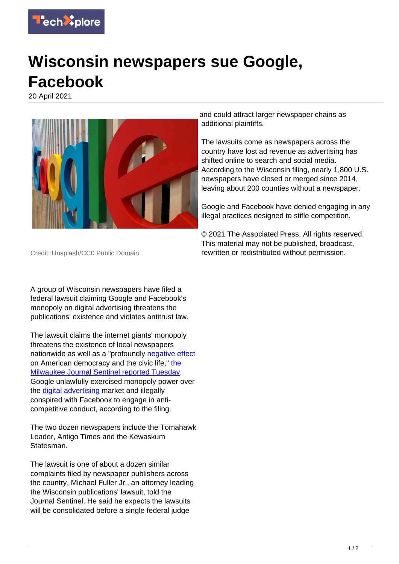

## **Wisconsin newspapers sue Google, Facebook**

20 April 2021



and could attract larger newspaper chains as additional plaintiffs.

The lawsuits come as newspapers across the country have lost ad revenue as advertising has shifted online to search and social media. According to the Wisconsin filing, nearly 1,800 U.S. newspapers have closed or merged since 2014, leaving about 200 counties without a newspaper.

Google and Facebook have denied engaging in any illegal practices designed to stifle competition.

© 2021 The Associated Press. All rights reserved. This material may not be published, broadcast, rewritten or redistributed without permission.

Credit: Unsplash/CC0 Public Domain

A group of Wisconsin newspapers have filed a federal lawsuit claiming Google and Facebook's monopoly on digital advertising threatens the publications' existence and violates antitrust law.

The lawsuit claims the internet giants' monopoly threatens the existence of local newspapers nationwide as well as a "profoundly [negative effect](https://techxplore.com/tags/negative+effect/) on American democracy and the civic life," [the](https://www.jsonline.com/story/news/2021/04/20/wisconsin-newspapers-file-antitrust-lawsuit-against-google-facebook/7293327002/?utm_campaign=snd-autopilot&cid=twitter_journalsentinel) [Milwaukee Journal Sentinel reported Tuesday.](https://www.jsonline.com/story/news/2021/04/20/wisconsin-newspapers-file-antitrust-lawsuit-against-google-facebook/7293327002/?utm_campaign=snd-autopilot&cid=twitter_journalsentinel) Google unlawfully exercised monopoly power over the **digital advertising** market and illegally conspired with Facebook to engage in anticompetitive conduct, according to the filing.

The two dozen newspapers include the Tomahawk Leader, Antigo Times and the Kewaskum Statesman.

The lawsuit is one of about a dozen similar complaints filed by newspaper publishers across the country, Michael Fuller Jr., an attorney leading the Wisconsin publications' lawsuit, told the Journal Sentinel. He said he expects the lawsuits will be consolidated before a single federal judge